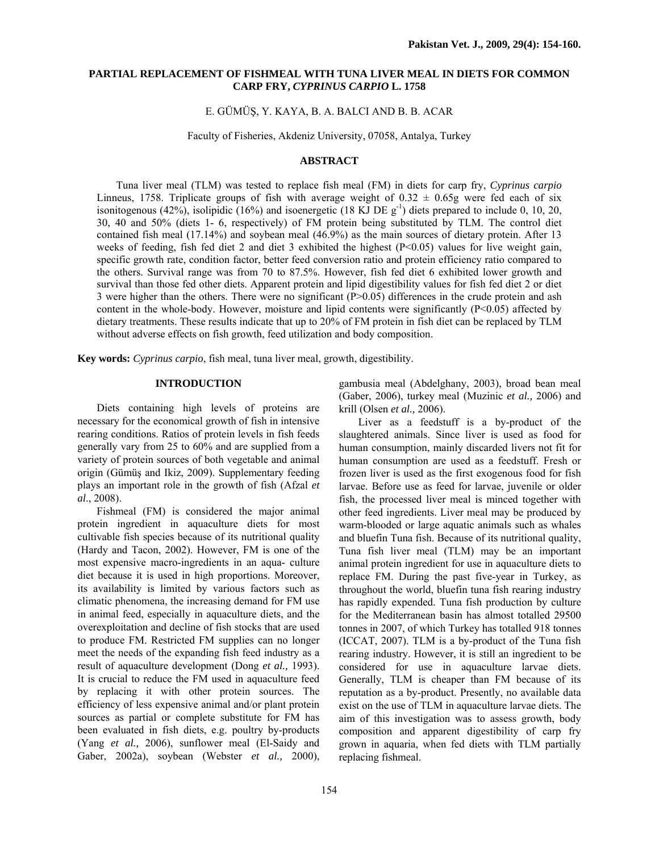# **PARTIAL REPLACEMENT OF FISHMEAL WITH TUNA LIVER MEAL IN DIETS FOR COMMON CARP FRY,** *CYPRINUS CARPIO* **L. 1758**

## E. GÜMÜŞ, Y. KAYA, B. A. BALCI AND B. B. ACAR

Faculty of Fisheries, Akdeniz University, 07058, Antalya, Turkey

# **ABSTRACT**

Tuna liver meal (TLM) was tested to replace fish meal (FM) in diets for carp fry, *Cyprinus carpio* Linneus, 1758. Triplicate groups of fish with average weight of  $0.32 \pm 0.65$ g were fed each of six isonitogenous (42%), isolipidic (16%) and isoenergetic (18 KJ DE  $g^{-1}$ ) diets prepared to include 0, 10, 20, 30, 40 and 50% (diets 1- 6, respectively) of FM protein being substituted by TLM. The control diet contained fish meal (17.14%) and soybean meal (46.9%) as the main sources of dietary protein. After 13 weeks of feeding, fish fed diet 2 and diet 3 exhibited the highest  $(P< 0.05)$  values for live weight gain, specific growth rate, condition factor, better feed conversion ratio and protein efficiency ratio compared to the others. Survival range was from 70 to 87.5%. However, fish fed diet 6 exhibited lower growth and survival than those fed other diets. Apparent protein and lipid digestibility values for fish fed diet 2 or diet 3 were higher than the others. There were no significant  $(P>0.05)$  differences in the crude protein and ash content in the whole-body. However, moisture and lipid contents were significantly  $(P<0.05)$  affected by dietary treatments. These results indicate that up to 20% of FM protein in fish diet can be replaced by TLM without adverse effects on fish growth, feed utilization and body composition.

**Key words:** *Cyprinus carpio*, fish meal, tuna liver meal, growth, digestibility.

# **INTRODUCTION**

Diets containing high levels of proteins are necessary for the economical growth of fish in intensive rearing conditions. Ratios of protein levels in fish feeds generally vary from 25 to 60% and are supplied from a variety of protein sources of both vegetable and animal origin (Gümüş and Ikiz, 2009). Supplementary feeding plays an important role in the growth of fish (Afzal *et al*., 2008).

Fishmeal (FM) is considered the major animal protein ingredient in aquaculture diets for most cultivable fish species because of its nutritional quality (Hardy and Tacon, 2002). However, FM is one of the most expensive macro-ingredients in an aqua- culture diet because it is used in high proportions. Moreover, its availability is limited by various factors such as climatic phenomena, the increasing demand for FM use in animal feed, especially in aquaculture diets, and the overexploitation and decline of fish stocks that are used to produce FM. Restricted FM supplies can no longer meet the needs of the expanding fish feed industry as a result of aquaculture development (Dong *et al.,* 1993). It is crucial to reduce the FM used in aquaculture feed by replacing it with other protein sources. The efficiency of less expensive animal and/or plant protein sources as partial or complete substitute for FM has been evaluated in fish diets, e.g. poultry by-products (Yang *et al.,* 2006), sunflower meal (El-Saidy and Gaber, 2002a), soybean (Webster *et al.,* 2000),

gambusia meal (Abdelghany, 2003), broad bean meal (Gaber, 2006), turkey meal (Muzinic *et al.,* 2006) and krill (Olsen *et al.,* 2006).

Liver as a feedstuff is a by-product of the slaughtered animals. Since liver is used as food for human consumption, mainly discarded livers not fit for human consumption are used as a feedstuff. Fresh or frozen liver is used as the first exogenous food for fish larvae. Before use as feed for larvae, juvenile or older fish, the processed liver meal is minced together with other feed ingredients. Liver meal may be produced by warm-blooded or large aquatic animals such as whales and bluefin Tuna fish. Because of its nutritional quality, Tuna fish liver meal (TLM) may be an important animal protein ingredient for use in aquaculture diets to replace FM. During the past five-year in Turkey, as throughout the world, bluefin tuna fish rearing industry has rapidly expended. Tuna fish production by culture for the Mediterranean basin has almost totalled 29500 tonnes in 2007, of which Turkey has totalled 918 tonnes (ICCAT, 2007). TLM is a by-product of the Tuna fish rearing industry. However, it is still an ingredient to be considered for use in aquaculture larvae diets. Generally, TLM is cheaper than FM because of its reputation as a by-product. Presently, no available data exist on the use of TLM in aquaculture larvae diets. The aim of this investigation was to assess growth, body composition and apparent digestibility of carp fry grown in aquaria, when fed diets with TLM partially replacing fishmeal.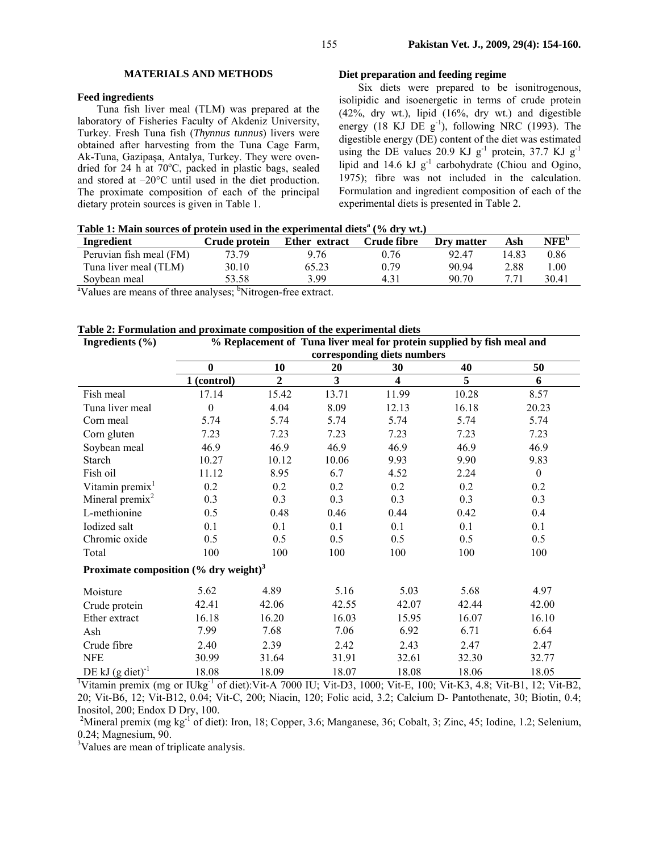#### **MATERIALS AND METHODS**

## **Feed ingredients**

Tuna fish liver meal (TLM) was prepared at the laboratory of Fisheries Faculty of Akdeniz University, Turkey. Fresh Tuna fish (*Thynnus tunnus*) livers were obtained after harvesting from the Tuna Cage Farm, Ak-Tuna, Gazipaşa, Antalya, Turkey. They were ovendried for 24 h at  $70^{\circ}$ C, packed in plastic bags, sealed and stored at –20°C until used in the diet production. The proximate composition of each of the principal dietary protein sources is given in Table 1.

## **Diet preparation and feeding regime**

Six diets were prepared to be isonitrogenous, isolipidic and isoenergetic in terms of crude protein  $(42\%$ , dry wt.), lipid  $(16\%$ , dry wt.) and digestible energy (18 KJ DE  $g^{-1}$ ), following NRC (1993). The digestible energy (DE) content of the diet was estimated using the DE values 20.9 KJ  $g^{-1}$  protein, 37.7 KJ  $g^{-1}$ lipid and 14.6 kJ g<sup>-1</sup> carbohydrate (Chiou and Ogino, 1975); fibre was not included in the calculation. Formulation and ingredient composition of each of the experimental diets is presented in Table 2.

| Table 1: Main sources of protein used in the experimental diets <sup>a</sup> (% dry wt.) |  |
|------------------------------------------------------------------------------------------|--|
|------------------------------------------------------------------------------------------|--|

| Ingredient               | Crude protein | Ether extract | Crude fibre | Dry matter | Ash   | NFE <sup>b</sup> |
|--------------------------|---------------|---------------|-------------|------------|-------|------------------|
| Peruvian fish meal (FM)  | 73.79         | 9.76          | 0.76        | 92.47      | 14.83 | 0.86             |
| Tuna liver meal (TLM)    | 30.10         | 65.23         | 0.79        | 90.94      | 2.88  | l.00             |
| Soybean meal             | 53.58         | 3.99          |             | 90.70      |       | 30.41            |
| $2 - 2$<br>$\sim$ $\sim$ | $h = -1$      | $\sim$        |             |            |       |                  |

<sup>a</sup>Values are means of three analyses; <sup>b</sup>Nitrogen-free extract.

| Ingredients $(\% )$                                  |                             |                |       | % Replacement of Tuna liver meal for protein supplied by fish meal and |       |                  |  |  |  |  |  |
|------------------------------------------------------|-----------------------------|----------------|-------|------------------------------------------------------------------------|-------|------------------|--|--|--|--|--|
|                                                      | corresponding diets numbers |                |       |                                                                        |       |                  |  |  |  |  |  |
|                                                      | $\bf{0}$                    | 10             | 20    | 30                                                                     | 40    | 50               |  |  |  |  |  |
|                                                      | 1 (control)                 | $\overline{2}$ | 3     | 4                                                                      | 5     | 6                |  |  |  |  |  |
| Fish meal                                            | 17.14                       | 15.42          | 13.71 | 11.99                                                                  | 10.28 | 8.57             |  |  |  |  |  |
| Tuna liver meal                                      | $\theta$                    | 4.04           | 8.09  | 12.13                                                                  | 16.18 | 20.23            |  |  |  |  |  |
| Corn meal                                            | 5.74                        | 5.74           | 5.74  | 5.74                                                                   | 5.74  | 5.74             |  |  |  |  |  |
| Corn gluten                                          | 7.23                        | 7.23           | 7.23  | 7.23                                                                   | 7.23  | 7.23             |  |  |  |  |  |
| Soybean meal                                         | 46.9                        | 46.9           | 46.9  | 46.9                                                                   | 46.9  | 46.9             |  |  |  |  |  |
| Starch                                               | 10.27                       | 10.12          | 10.06 | 9.93                                                                   | 9.90  | 9.83             |  |  |  |  |  |
| Fish oil                                             | 11.12                       | 8.95           | 6.7   | 4.52                                                                   | 2.24  | $\boldsymbol{0}$ |  |  |  |  |  |
| Vitamin premix <sup>1</sup>                          | 0.2                         | 0.2            | 0.2   | 0.2                                                                    | 0.2   | 0.2              |  |  |  |  |  |
| Mineral premix $2$                                   | 0.3                         | 0.3            | 0.3   | 0.3                                                                    | 0.3   | 0.3              |  |  |  |  |  |
| L-methionine                                         | 0.5                         | 0.48           | 0.46  | 0.44                                                                   | 0.42  | 0.4              |  |  |  |  |  |
| Iodized salt                                         | 0.1                         | 0.1            | 0.1   | 0.1                                                                    | 0.1   | 0.1              |  |  |  |  |  |
| Chromic oxide                                        | 0.5                         | 0.5            | 0.5   | 0.5                                                                    | 0.5   | 0.5              |  |  |  |  |  |
| Total                                                | 100                         | 100            | 100   | 100                                                                    | 100   | 100              |  |  |  |  |  |
| Proximate composition $(\%$ dry weight) <sup>3</sup> |                             |                |       |                                                                        |       |                  |  |  |  |  |  |
| Moisture                                             | 5.62                        | 4.89           | 5.16  | 5.03                                                                   | 5.68  | 4.97             |  |  |  |  |  |
| Crude protein                                        | 42.41                       | 42.06          | 42.55 | 42.07                                                                  | 42.44 | 42.00            |  |  |  |  |  |
| Ether extract                                        | 16.18                       | 16.20          | 16.03 | 15.95                                                                  | 16.07 | 16.10            |  |  |  |  |  |

DE kJ (g diet)<sup>-1</sup> 18.08 18.09 18.07 18.08 18.06 18.05<br><sup>1</sup>Vitamin premix (mg or IUkg<sup>-1</sup> of diet):Vit-A 7000 IU; Vit-D3, 1000; Vit-E, 100; Vit-K3, 4.8; Vit-B1, 12; Vit-B2, 20; Vit-B6, 12; Vit-B12, 0.04; Vit-C, 200; Niacin, 120; Folic acid, 3.2; Calcium D- Pantothenate, 30; Biotin, 0.4; Inositol, 200; Endox D Dry, 100.

Ash 7.99 7.68 7.06 6.92 6.71 6.64 Crude fibre 2.40 2.39 2.42 2.43 2.47 2.47 NFE 30.99 31.64 31.91 32.61 32.30 32.77

<sup>2</sup>Mineral premix (mg kg<sup>-1</sup> of diet): Iron, 18; Copper, 3.6; Manganese, 36; Cobalt, 3; Zinc, 45; Iodine, 1.2; Selenium, 0.24; Magnesium, 90.

3 Values are mean of triplicate analysis.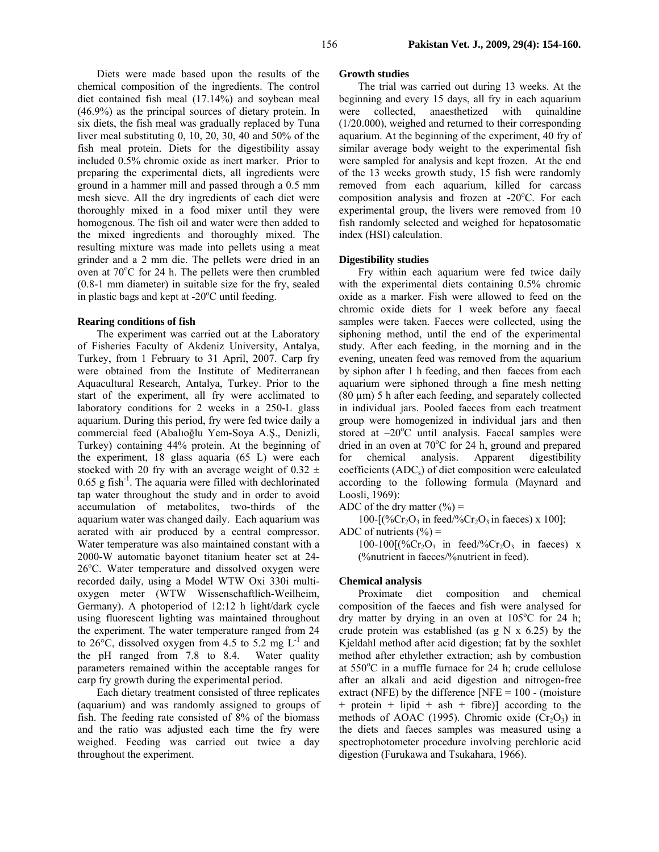Diets were made based upon the results of the chemical composition of the ingredients. The control diet contained fish meal (17.14%) and soybean meal (46.9%) as the principal sources of dietary protein. In six diets, the fish meal was gradually replaced by Tuna liver meal substituting 0, 10, 20, 30, 40 and 50% of the fish meal protein. Diets for the digestibility assay included 0.5% chromic oxide as inert marker. Prior to preparing the experimental diets, all ingredients were ground in a hammer mill and passed through a 0.5 mm mesh sieve. All the dry ingredients of each diet were thoroughly mixed in a food mixer until they were homogenous. The fish oil and water were then added to the mixed ingredients and thoroughly mixed. The resulting mixture was made into pellets using a meat grinder and a 2 mm die. The pellets were dried in an oven at  $70^{\circ}$ C for 24 h. The pellets were then crumbled (0.8-1 mm diameter) in suitable size for the fry, sealed in plastic bags and kept at -20°C until feeding.

### **Rearing conditions of fish**

The experiment was carried out at the Laboratory of Fisheries Faculty of Akdeniz University, Antalya, Turkey, from 1 February to 31 April, 2007. Carp fry were obtained from the Institute of Mediterranean Aquacultural Research, Antalya, Turkey. Prior to the start of the experiment, all fry were acclimated to laboratory conditions for 2 weeks in a 250-L glass aquarium. During this period, fry were fed twice daily a commercial feed (Abalıoğlu Yem-Soya A.Ş., Denizli, Turkey) containing 44% protein. At the beginning of the experiment, 18 glass aquaria (65 L) were each stocked with 20 fry with an average weight of  $0.32 \pm$  $0.65$  g fish<sup>-1</sup>. The aquaria were filled with dechlorinated tap water throughout the study and in order to avoid accumulation of metabolites, two-thirds of the aquarium water was changed daily. Each aquarium was aerated with air produced by a central compressor. Water temperature was also maintained constant with a 2000-W automatic bayonet titanium heater set at 24- 26°C. Water temperature and dissolved oxygen were recorded daily, using a Model WTW Oxi 330i multioxygen meter (WTW Wissenschaftlich-Weilheim, Germany). A photoperiod of 12:12 h light/dark cycle using fluorescent lighting was maintained throughout the experiment. The water temperature ranged from 24 to 26 $\degree$ C, dissolved oxygen from 4.5 to 5.2 mg L<sup>-1</sup> and the pH ranged from 7.8 to 8.4. Water quality parameters remained within the acceptable ranges for carp fry growth during the experimental period.

Each dietary treatment consisted of three replicates (aquarium) and was randomly assigned to groups of fish. The feeding rate consisted of 8% of the biomass and the ratio was adjusted each time the fry were weighed. Feeding was carried out twice a day throughout the experiment.

## **Growth studies**

The trial was carried out during 13 weeks. At the beginning and every 15 days, all fry in each aquarium were collected, anaesthetized with quinaldine (1/20.000), weighed and returned to their corresponding aquarium. At the beginning of the experiment, 40 fry of similar average body weight to the experimental fish were sampled for analysis and kept frozen. At the end of the 13 weeks growth study, 15 fish were randomly removed from each aquarium, killed for carcass composition analysis and frozen at -20°C. For each experimental group, the livers were removed from 10 fish randomly selected and weighed for hepatosomatic index (HSI) calculation.

# **Digestibility studies**

Fry within each aquarium were fed twice daily with the experimental diets containing 0.5% chromic oxide as a marker. Fish were allowed to feed on the chromic oxide diets for 1 week before any faecal samples were taken. Faeces were collected, using the siphoning method, until the end of the experimental study. After each feeding, in the morning and in the evening, uneaten feed was removed from the aquarium by siphon after 1 h feeding, and then faeces from each aquarium were siphoned through a fine mesh netting (80 µm) 5 h after each feeding, and separately collected in individual jars. Pooled faeces from each treatment group were homogenized in individual jars and then stored at  $-20^{\circ}$ C until analysis. Faecal samples were dried in an oven at 70°C for 24 h, ground and prepared for chemical analysis. Apparent digestibility coefficients  $(ADC<sub>s</sub>)$  of diet composition were calculated according to the following formula (Maynard and Loosli, 1969):

ADC of the dry matter  $(\% )$  =

100- $[(\%Cr_2O_3 \text{ in feed}/\%Cr_2O_3 \text{ in faces}) \times 100]$ ; ADC of nutrients  $(\% )$  =

100-100 $[(\%Cr_2O_3 \text{ in feed}/\%Cr_2O_3 \text{ in faces}) \times$ (%nutrient in faeces/%nutrient in feed).

### **Chemical analysis**

Proximate diet composition and chemical composition of the faeces and fish were analysed for dry matter by drying in an oven at  $105^{\circ}$ C for 24 h; crude protein was established (as  $g N \times 6.25$ ) by the Kjeldahl method after acid digestion; fat by the soxhlet method after ethylether extraction; ash by combustion at 550°C in a muffle furnace for 24 h; crude cellulose after an alkali and acid digestion and nitrogen-free extract (NFE) by the difference [NFE =  $100 - (moisture$ ] + protein + lipid + ash + fibre)] according to the methods of AOAC (1995). Chromic oxide  $(Cr<sub>2</sub>O<sub>3</sub>)$  in the diets and faeces samples was measured using a spectrophotometer procedure involving perchloric acid digestion (Furukawa and Tsukahara, 1966).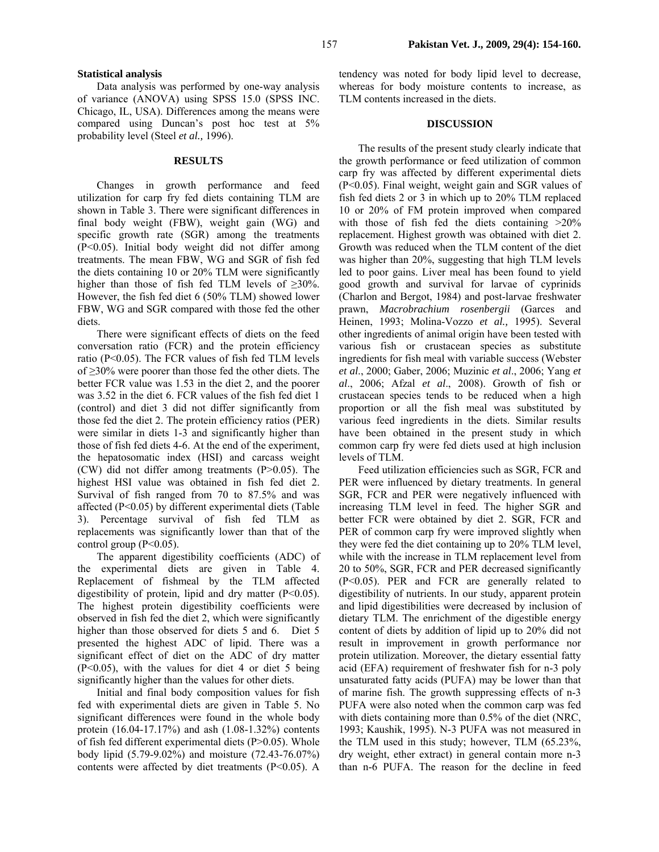### **Statistical analysis**

Data analysis was performed by one-way analysis of variance (ANOVA) using SPSS 15.0 (SPSS INC. Chicago, IL, USA). Differences among the means were compared using Duncan's post hoc test at 5% probability level (Steel *et al.,* 1996).

## **RESULTS**

Changes in growth performance and feed utilization for carp fry fed diets containing TLM are shown in Table 3. There were significant differences in final body weight (FBW), weight gain (WG) and specific growth rate (SGR) among the treatments (P<0.05). Initial body weight did not differ among treatments. The mean FBW, WG and SGR of fish fed the diets containing 10 or 20% TLM were significantly higher than those of fish fed TLM levels of  $\geq 30\%$ . However, the fish fed diet 6 (50% TLM) showed lower FBW, WG and SGR compared with those fed the other diets.

There were significant effects of diets on the feed conversation ratio (FCR) and the protein efficiency ratio (P<0.05). The FCR values of fish fed TLM levels of ≥30% were poorer than those fed the other diets. The better FCR value was 1.53 in the diet 2, and the poorer was 3.52 in the diet 6. FCR values of the fish fed diet 1 (control) and diet 3 did not differ significantly from those fed the diet 2. The protein efficiency ratios (PER) were similar in diets 1-3 and significantly higher than those of fish fed diets 4-6. At the end of the experiment, the hepatosomatic index (HSI) and carcass weight (CW) did not differ among treatments (P>0.05). The highest HSI value was obtained in fish fed diet 2. Survival of fish ranged from 70 to 87.5% and was affected (P<0.05) by different experimental diets (Table 3). Percentage survival of fish fed TLM as replacements was significantly lower than that of the control group  $(P<0.05)$ .

The apparent digestibility coefficients (ADC) of the experimental diets are given in Table 4. Replacement of fishmeal by the TLM affected digestibility of protein, lipid and dry matter (P<0.05). The highest protein digestibility coefficients were observed in fish fed the diet 2, which were significantly higher than those observed for diets 5 and 6. Diet 5 presented the highest ADC of lipid. There was a significant effect of diet on the ADC of dry matter  $(P<0.05)$ , with the values for diet 4 or diet 5 being significantly higher than the values for other diets.

Initial and final body composition values for fish fed with experimental diets are given in Table 5. No significant differences were found in the whole body protein (16.04-17.17%) and ash (1.08-1.32%) contents of fish fed different experimental diets (P>0.05). Whole body lipid (5.79-9.02%) and moisture (72.43-76.07%) contents were affected by diet treatments  $(P<0.05)$ . A tendency was noted for body lipid level to decrease, whereas for body moisture contents to increase, as TLM contents increased in the diets.

### **DISCUSSION**

The results of the present study clearly indicate that the growth performance or feed utilization of common carp fry was affected by different experimental diets (P<0.05). Final weight, weight gain and SGR values of fish fed diets 2 or 3 in which up to 20% TLM replaced 10 or 20% of FM protein improved when compared with those of fish fed the diets containing  $>20\%$ replacement. Highest growth was obtained with diet 2. Growth was reduced when the TLM content of the diet was higher than 20%, suggesting that high TLM levels led to poor gains. Liver meal has been found to yield good growth and survival for larvae of cyprinids (Charlon and Bergot, 1984) and post-larvae freshwater prawn, *Macrobrachium rosenbergii* (Garces and Heinen, 1993; Molina-Vozzo *et al.,* 1995). Several other ingredients of animal origin have been tested with various fish or crustacean species as substitute ingredients for fish meal with variable success (Webster *et al*., 2000; Gaber, 2006; Muzinic *et al*., 2006; Yang *et al*., 2006; Afzal *et al*., 2008). Growth of fish or crustacean species tends to be reduced when a high proportion or all the fish meal was substituted by various feed ingredients in the diets. Similar results have been obtained in the present study in which common carp fry were fed diets used at high inclusion levels of TLM.

Feed utilization efficiencies such as SGR, FCR and PER were influenced by dietary treatments. In general SGR, FCR and PER were negatively influenced with increasing TLM level in feed. The higher SGR and better FCR were obtained by diet 2. SGR, FCR and PER of common carp fry were improved slightly when they were fed the diet containing up to 20% TLM level, while with the increase in TLM replacement level from 20 to 50%, SGR, FCR and PER decreased significantly (P<0.05). PER and FCR are generally related to digestibility of nutrients. In our study, apparent protein and lipid digestibilities were decreased by inclusion of dietary TLM. The enrichment of the digestible energy content of diets by addition of lipid up to 20% did not result in improvement in growth performance nor protein utilization. Moreover, the dietary essential fatty acid (EFA) requirement of freshwater fish for n-3 poly unsaturated fatty acids (PUFA) may be lower than that of marine fish. The growth suppressing effects of n-3 PUFA were also noted when the common carp was fed with diets containing more than 0.5% of the diet (NRC, 1993; Kaushik, 1995). N-3 PUFA was not measured in the TLM used in this study; however, TLM (65.23%, dry weight, ether extract) in general contain more n-3 than n-6 PUFA. The reason for the decline in feed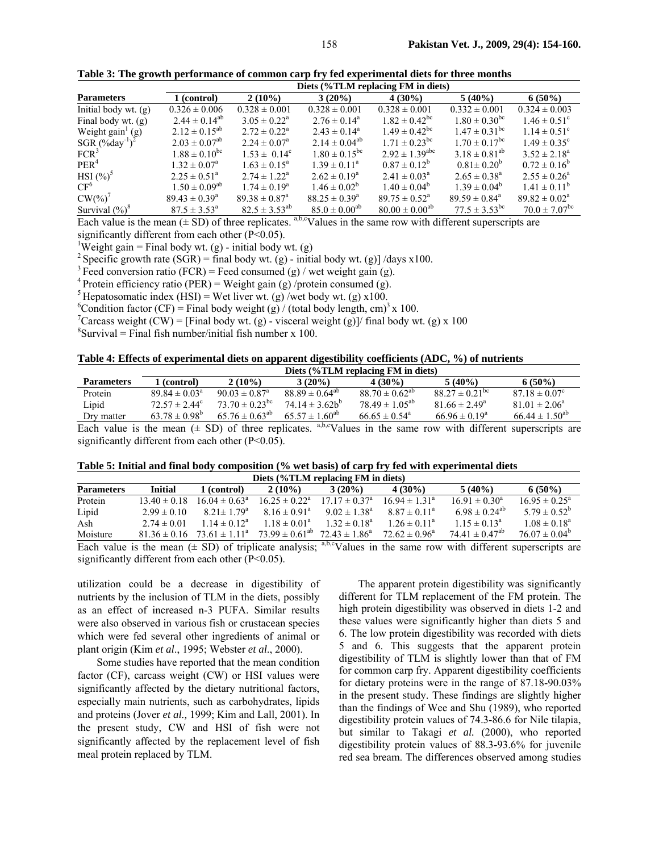|                      | Diets (%TLM replacing FM in diets) |                               |                          |                               |                               |                               |  |  |  |
|----------------------|------------------------------------|-------------------------------|--------------------------|-------------------------------|-------------------------------|-------------------------------|--|--|--|
| <b>Parameters</b>    | 1 (control)                        | $2(10\%)$                     | $3(20\%)$                | $4(30\%)$                     | $5(40\%)$                     | $6(50\%)$                     |  |  |  |
| Initial body wt. (g) | $0.326 \pm 0.006$                  | $0.328 \pm 0.001$             | $0.328 \pm 0.001$        | $0.328 \pm 0.001$             | $0.332 \pm 0.001$             | $0.324 \pm 0.003$             |  |  |  |
| Final body wt. (g)   | $2.44 \pm 0.14^{ab}$               | $3.05 \pm 0.22^{\text{a}}$    | $2.76 \pm 0.14^{\circ}$  | $1.82 \pm 0.42^{\rm bc}$      | $1.80 \pm 0.30^{\rm bc}$      | $1.46 \pm 0.51^{\circ}$       |  |  |  |
| Weight $gain'$ (g)   | $2.12 \pm 0.15^{ab}$               | $2.72 \pm 0.22^{\text{a}}$    | $2.43 \pm 0.14^a$        | $1.49 \pm 0.42^{\rm bc}$      | $1.47 \pm 0.31$ <sup>bc</sup> | $1.14 \pm 0.51^{\circ}$       |  |  |  |
| SGR $(\%day^{-1})^2$ | $2.03 \pm 0.07^{ab}$               | $2.24 \pm 0.07^{\circ}$       | $2.14 \pm 0.04^{ab}$     | $1.71 \pm 0.23$ <sup>bc</sup> | $1.70 \pm 0.17$ <sup>bc</sup> | $1.49 \pm 0.35^{\circ}$       |  |  |  |
| FCR <sup>3</sup>     | $1.88 \pm 0.10^{bc}$               | $1.53 \pm 0.14^c$             | $1.80 \pm 0.15^{bc}$     | $2.92 \pm 1.39^{\text{abc}}$  | $3.18 \pm 0.81^{ab}$          | $3.52 \pm 2.18^a$             |  |  |  |
| PER <sup>4</sup>     | $1.32 \pm 0.07^{\rm a}$            | $1.63 \pm 0.15^{\circ}$       | $1.39 \pm 0.11^{\circ}$  | $0.87 \pm 0.12^b$             | $0.81 \pm 0.20^{b}$           | $0.72 \pm 0.16^b$             |  |  |  |
| $HSI(%)^5$           | $2.25 \pm 0.51^{\circ}$            | $2.74 \pm 1.22^{\text{a}}$    | $2.62 \pm 0.19^a$        | $2.41 \pm 0.03^{\circ}$       | $2.65 \pm 0.38^a$             | $2.55 \pm 0.26^a$             |  |  |  |
| CF <sup>6</sup>      | $1.50 \pm 0.09^{ab}$               | $1.74 \pm 0.19^{\circ}$       | $1.46 \pm 0.02^b$        | $1.40 \pm 0.04^b$             | $1.39 \pm 0.04^b$             | $1.41 \pm 0.11^b$             |  |  |  |
| $CW(\%)^7$           | $89.43 \pm 0.39^{\circ}$           | $89.38 \pm 0.87$ <sup>a</sup> | $88.25 \pm 0.39^{\circ}$ | $89.75 \pm 0.52^{\circ}$      | $89.59 \pm 0.84$ <sup>a</sup> | $89.82 \pm 0.02^{\circ}$      |  |  |  |
| Survival $(\%)^8$    | $87.5 \pm 3.53^{\circ}$            | $82.5 \pm 3.53^{ab}$          | $85.0 \pm 0.00^{ab}$     | $80.00 \pm 0.00^{ab}$         | $77.5 \pm 3.53^{\rm bc}$      | $70.0 \pm 7.07$ <sup>bc</sup> |  |  |  |

**Table 3: The growth performance of common carp fry fed experimental diets for three months** 

Each value is the mean  $(\pm SD)$  of three replicates. <sup>a,b,c</sup>Values in the same row with different superscripts are significantly different from each other  $(P<0.05)$ .

<sup>1</sup>Weight gain = Final body wt. (g) - initial body wt. (g)

<sup>2</sup> Specific growth rate (SGR) = final body wt. (g) - initial body wt. (g)] /days x100. <sup>3</sup> Feed conversion ratio (FCR) = Feed consumed (g) / wet weight gain (g).

<sup>4</sup> Protein efficiency ratio (PER) = Weight gain (g) /protein consumed (g).

<sup>5</sup> Hepatosomatic index (HSI) = Wet liver wt. (g) /wet body wt. (g)  $x100$ .

<sup>6</sup>Condition factor (CF) = Final body weight (g)/(total body length, cm)<sup>3</sup> x 100.

<sup>7</sup> Carcass weight (CW) = [Final body wt. (g) - visceral weight (g)]/ final body wt. (g) x 100

 ${}^{8}$ Survival = Final fish number/initial fish number x 100.

**Table 4: Effects of experimental diets on apparent digestibility coefficients (ADC, %) of nutrients** 

|                   | Diets (%TLM replacing FM in diets) |                                |                       |                               |                           |                       |  |  |  |  |
|-------------------|------------------------------------|--------------------------------|-----------------------|-------------------------------|---------------------------|-----------------------|--|--|--|--|
| <b>Parameters</b> | (control)                          | $2(10\%)$                      | 3(20%)                | 4(30%)                        | 5(40%)                    | $6(50\%)$             |  |  |  |  |
| Protein           | $89.84 \pm 0.03^{\circ}$           | $90.03 \pm 0.87^{\circ}$       | $88.89 \pm 0.64^{ab}$ | $88.70 \pm 0.62^{ab}$         | $88.27 \pm 0.21^{\rm bc}$ | $87.18 \pm 0.07^c$    |  |  |  |  |
| Lipid             | $72.57 \pm 2.44^{\circ}$           | 73.70 $\pm$ 0.23 <sup>bc</sup> | $74.14 \pm 3.62h^b$   | $78.49 \pm 1.05^{ab}$         | $81.66 \pm 2.49^{\circ}$  | $81.01 \pm 2.06^a$    |  |  |  |  |
| Dry matter        | $63.78 \pm 0.98^b$                 | $65.76 \pm 0.63^{ab}$          | $65.57 \pm 1.60^{ab}$ | $66.65 \pm 0.54$ <sup>a</sup> | $66.96 \pm 0.19^{\circ}$  | $66.44 \pm 1.50^{ab}$ |  |  |  |  |
|                   |                                    |                                |                       |                               |                           |                       |  |  |  |  |

Each value is the mean  $(\pm SD)$  of three replicates. <sup>a,b,c</sup>Values in the same row with different superscripts are significantly different from each other  $(P<0.05)$ .

| Table 5: Initial and final body composition (% wet basis) of carp fry fed with experimental diets                                                                                                                                                                                                |  |  |  |  |  |  |  |  |  |  |
|--------------------------------------------------------------------------------------------------------------------------------------------------------------------------------------------------------------------------------------------------------------------------------------------------|--|--|--|--|--|--|--|--|--|--|
| $\mathbf{D}$ and $\mathbf{D}$ and $\mathbf{D}$ and $\mathbf{D}$ and $\mathbf{D}$ and $\mathbf{D}$ and $\mathbf{D}$ and $\mathbf{D}$ and $\mathbf{D}$ and $\mathbf{D}$ and $\mathbf{D}$ and $\mathbf{D}$ and $\mathbf{D}$ and $\mathbf{D}$ and $\mathbf{D}$ and $\mathbf{D}$ and $\mathbf{D}$ and |  |  |  |  |  |  |  |  |  |  |

| Diets (%1 LM replacing FM III diets) |                  |                                     |                                          |                          |                          |                                                                                                                         |                          |  |  |
|--------------------------------------|------------------|-------------------------------------|------------------------------------------|--------------------------|--------------------------|-------------------------------------------------------------------------------------------------------------------------|--------------------------|--|--|
| <b>Parameters</b>                    | <b>Initial</b>   | 1 (control)                         | $2(10\%)$                                | $3(20\%)$                | $4(30\%)$                | $5(40\%)$                                                                                                               | $6(50\%)$                |  |  |
| Protein                              | $13.40 \pm 0.18$ | $16.04 \pm 0.63^{\circ}$            | $16.25 \pm 0.22^{\circ}$                 | $17.17 \pm 0.37^{\circ}$ | $16.94 \pm 1.31^{\circ}$ | $16.91 \pm 0.30^{\circ}$                                                                                                | $16.95 \pm 0.25^{\circ}$ |  |  |
| Lipid                                | $2.99 \pm 0.10$  | $8.21 \pm 1.79^{\circ}$             | $8.16 \pm 0.91^{\circ}$                  | $9.02 \pm 1.38^a$        | $8.87 \pm 0.11^{\circ}$  | 6.98 ± 0.24 <sup>ab</sup>                                                                                               | $5.79 \pm 0.52^b$        |  |  |
| Ash                                  | $2.74 \pm 0.01$  | $1.14 \pm 0.12^a$                   | $1.18 \pm 0.01^a$                        | $1.32 \pm 0.18^a$        | $1.26 \pm 0.11^a$        | $1.15 \pm 0.13^a$                                                                                                       | $1.08 \pm 0.18^a$        |  |  |
| Moisture                             |                  | $81.36 \pm 0.16$ $73.61 \pm 1.11^a$ | $73.99 \pm 0.61^{ab}$ $72.43 \pm 1.86^a$ |                          | $72.62 \pm 0.96^{\circ}$ | 74 41 $\pm$ 0.47 <sup>ab</sup>                                                                                          | $76.07 \pm 0.04^b$       |  |  |
|                                      |                  |                                     |                                          |                          |                          | $\Gamma$ . A set of the second $(1,0.07)$ of the line controls $0.0037$ then the theory was set $11.000$ and considered |                          |  |  |

Each value is the mean  $(\pm SD)$  of triplicate analysis;  $a, b, c$ Values in the same row with different superscripts are significantly different from each other  $(P<0.05)$ .

utilization could be a decrease in digestibility of nutrients by the inclusion of TLM in the diets, possibly as an effect of increased n-3 PUFA. Similar results were also observed in various fish or crustacean species which were fed several other ingredients of animal or plant origin (Kim *et al*., 1995; Webster *et al*., 2000).

Some studies have reported that the mean condition factor (CF), carcass weight (CW) or HSI values were significantly affected by the dietary nutritional factors, especially main nutrients, such as carbohydrates, lipids and proteins (Jover *et al.,* 1999; Kim and Lall, 2001). In the present study, CW and HSI of fish were not significantly affected by the replacement level of fish meal protein replaced by TLM.

The apparent protein digestibility was significantly different for TLM replacement of the FM protein. The high protein digestibility was observed in diets 1-2 and these values were significantly higher than diets 5 and 6. The low protein digestibility was recorded with diets 5 and 6. This suggests that the apparent protein digestibility of TLM is slightly lower than that of FM for common carp fry. Apparent digestibility coefficients for dietary proteins were in the range of 87.18-90.03% in the present study. These findings are slightly higher than the findings of Wee and Shu (1989), who reported digestibility protein values of 74.3-86.6 for Nile tilapia, but similar to Takagi *et al.* (2000), who reported digestibility protein values of 88.3-93.6% for juvenile red sea bream. The differences observed among studies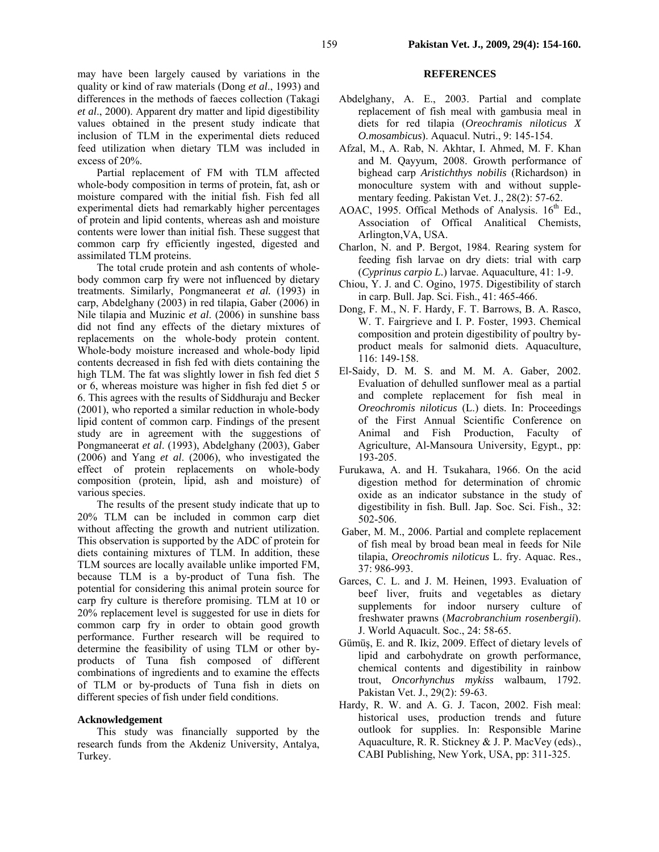may have been largely caused by variations in the quality or kind of raw materials (Dong *et al*., 1993) and differences in the methods of faeces collection (Takagi *et al*., 2000). Apparent dry matter and lipid digestibility values obtained in the present study indicate that inclusion of TLM in the experimental diets reduced feed utilization when dietary TLM was included in excess of 20%.

Partial replacement of FM with TLM affected whole-body composition in terms of protein, fat, ash or moisture compared with the initial fish. Fish fed all experimental diets had remarkably higher percentages of protein and lipid contents, whereas ash and moisture contents were lower than initial fish. These suggest that common carp fry efficiently ingested, digested and assimilated TLM proteins.

The total crude protein and ash contents of wholebody common carp fry were not influenced by dietary treatments. Similarly, Pongmaneerat *et al.* (1993) in carp, Abdelghany (2003) in red tilapia, Gaber (2006) in Nile tilapia and Muzinic *et al*. (2006) in sunshine bass did not find any effects of the dietary mixtures of replacements on the whole-body protein content. Whole-body moisture increased and whole-body lipid contents decreased in fish fed with diets containing the high TLM. The fat was slightly lower in fish fed diet 5 or 6, whereas moisture was higher in fish fed diet 5 or 6. This agrees with the results of Siddhuraju and Becker (2001), who reported a similar reduction in whole-body lipid content of common carp. Findings of the present study are in agreement with the suggestions of Pongmaneerat *et al*. (1993), Abdelghany (2003), Gaber (2006) and Yang *et al*. (2006), who investigated the effect of protein replacements on whole-body composition (protein, lipid, ash and moisture) of various species.

The results of the present study indicate that up to 20% TLM can be included in common carp diet without affecting the growth and nutrient utilization. This observation is supported by the ADC of protein for diets containing mixtures of TLM. In addition, these TLM sources are locally available unlike imported FM, because TLM is a by-product of Tuna fish. The potential for considering this animal protein source for carp fry culture is therefore promising. TLM at 10 or 20% replacement level is suggested for use in diets for common carp fry in order to obtain good growth performance. Further research will be required to determine the feasibility of using TLM or other byproducts of Tuna fish composed of different combinations of ingredients and to examine the effects of TLM or by-products of Tuna fish in diets on different species of fish under field conditions.

# **Acknowledgement**

This study was financially supported by the research funds from the Akdeniz University, Antalya, Turkey.

# **REFERENCES**

- Abdelghany, A. E., 2003. Partial and complate replacement of fish meal with gambusia meal in diets for red tilapia (*Oreochramis niloticus X O.mosambicus*). Aquacul. Nutri., 9: 145-154.
- Afzal, M., A. Rab, N. Akhtar, I. Ahmed, M. F. Khan and M. Qayyum, 2008. Growth performance of bighead carp *Aristichthys nobilis* (Richardson) in monoculture system with and without supplementary feeding. Pakistan Vet. J., 28(2): 57-62.
- AOAC, 1995. Offical Methods of Analysis.  $16<sup>th</sup>$  Ed., Association of Offical Analitical Chemists, Arlington,VA, USA.
- Charlon, N. and P. Bergot, 1984. Rearing system for feeding fish larvae on dry diets: trial with carp (*Cyprinus carpio L.*) larvae. Aquaculture, 41: 1-9.
- Chiou, Y. J. and C. Ogino, 1975. Digestibility of starch in carp. Bull. Jap. Sci. Fish., 41: 465-466.
- Dong, F. M., N. F. Hardy, F. T. Barrows, B. A. Rasco, W. T. Fairgrieve and I. P. Foster, 1993. Chemical composition and protein digestibility of poultry byproduct meals for salmonid diets. Aquaculture, 116: 149-158.
- El-Saidy, D. M. S. and M. M. A. Gaber, 2002. Evaluation of dehulled sunflower meal as a partial and complete replacement for fish meal in *Oreochromis niloticus* (L.) diets. In: Proceedings of the First Annual Scientific Conference on Animal and Fish Production, Faculty of Agriculture, Al-Mansoura University, Egypt., pp: 193-205.
- Furukawa, A. and H. Tsukahara, 1966. On the acid digestion method for determination of chromic oxide as an indicator substance in the study of digestibility in fish. Bull. Jap. Soc. Sci. Fish., 32: 502-506.
- Gaber, M. M., 2006. Partial and complete replacement of fish meal by broad bean meal in feeds for Nile tilapia, *Oreochromis niloticus* L. fry. Aquac. Res., 37: 986-993.
- Garces, C. L. and J. M. Heinen, 1993. Evaluation of beef liver, fruits and vegetables as dietary supplements for indoor nursery culture of freshwater prawns (*Macrobranchium rosenbergii*). J. World Aquacult. Soc., 24: 58-65.
- Gümüş, E. and R. Ikiz, 2009. Effect of dietary levels of lipid and carbohydrate on growth performance, chemical contents and digestibility in rainbow trout, *Oncorhynchus mykiss* walbaum, 1792. Pakistan Vet. J., 29(2): 59-63.
- Hardy, R. W. and A. G. J. Tacon, 2002. Fish meal: historical uses, production trends and future outlook for supplies. In: Responsible Marine Aquaculture, R. R. Stickney & J. P. MacVey (eds)., CABI Publishing, New York, USA, pp: 311-325.